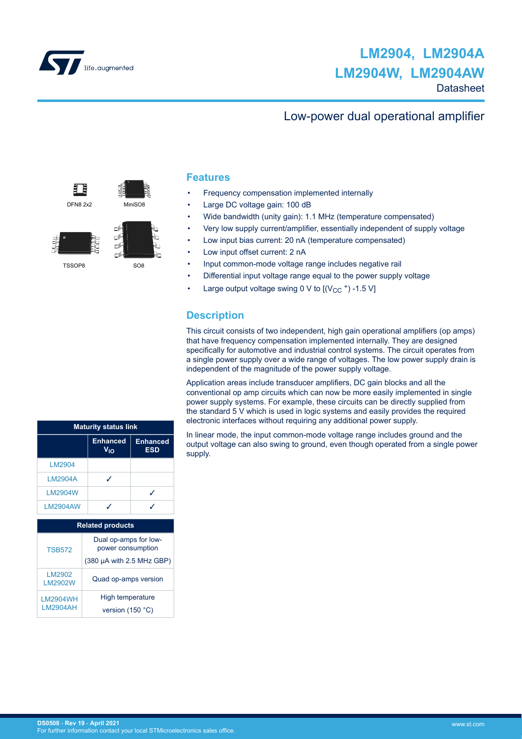

### Low-power dual operational amplifier

盯 DFN8 2x2 MiniSO8



TSSOP8 SO8

#### **Features**

- Frequency compensation implemented internally
- Large DC voltage gain: 100 dB
- Wide bandwidth (unity gain): 1.1 MHz (temperature compensated)
- Very low supply current/amplifier, essentially independent of supply voltage
- Low input bias current: 20 nA (temperature compensated)
- Low input offset current: 2 nA
- Input common-mode voltage range includes negative rail
- Differential input voltage range equal to the power supply voltage
- Large output voltage swing 0 V to  $[(V_{CC}^{\dagger}) -1.5 V]$

### **Description**

This circuit consists of two independent, high gain operational amplifiers (op amps) that have frequency compensation implemented internally. They are designed specifically for automotive and industrial control systems. The circuit operates from a single power supply over a wide range of voltages. The low power supply drain is independent of the magnitude of the power supply voltage.

Application areas include transducer amplifiers, DC gain blocks and all the conventional op amp circuits which can now be more easily implemented in single power supply systems. For example, these circuits can be directly supplied from the standard 5 V which is used in logic systems and easily provides the required electronic interfaces without requiring any additional power supply.

In linear mode, the input common-mode voltage range includes ground and the output voltage can also swing to ground, even though operated from a single power supply.

| <b>Maturity status link</b>        |                                                                         |                                        |  |  |  |
|------------------------------------|-------------------------------------------------------------------------|----------------------------------------|--|--|--|
|                                    | <b>Enhanced</b><br>V <sub>IO</sub>                                      | <b>Enhanced</b><br><b>ESD</b>          |  |  |  |
| LM2904                             |                                                                         |                                        |  |  |  |
| <b>LM2904A</b>                     | ℐ                                                                       |                                        |  |  |  |
| <b>LM2904W</b>                     |                                                                         | ℐ                                      |  |  |  |
| <b>LM2904AW</b>                    | ℐ                                                                       | ℐ                                      |  |  |  |
|                                    | <b>Related products</b>                                                 |                                        |  |  |  |
| <b>TSB572</b>                      | Dual op-amps for low-<br>power consumption<br>(380 µA with 2.5 MHz GBP) |                                        |  |  |  |
| LM2902<br>LM2902W                  | Quad op-amps version                                                    |                                        |  |  |  |
| <b>LM2904WH</b><br><b>LM2904AH</b> |                                                                         | High temperature<br>version $(150 °C)$ |  |  |  |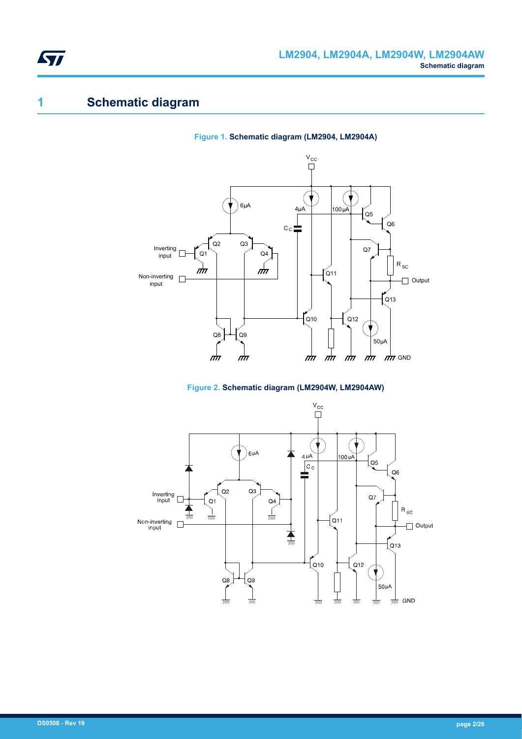# **1 Schematic diagram**









<span id="page-1-0"></span>ST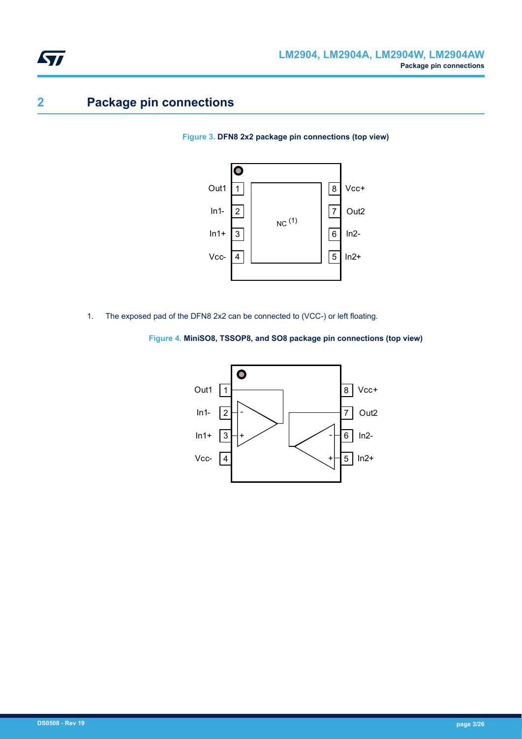# <span id="page-2-0"></span>**2 Package pin connections**

**Figure 3. DFN8 2x2 package pin connections (top view)**



1. The exposed pad of the DFN8 2x2 can be connected to (VCC-) or left floating.



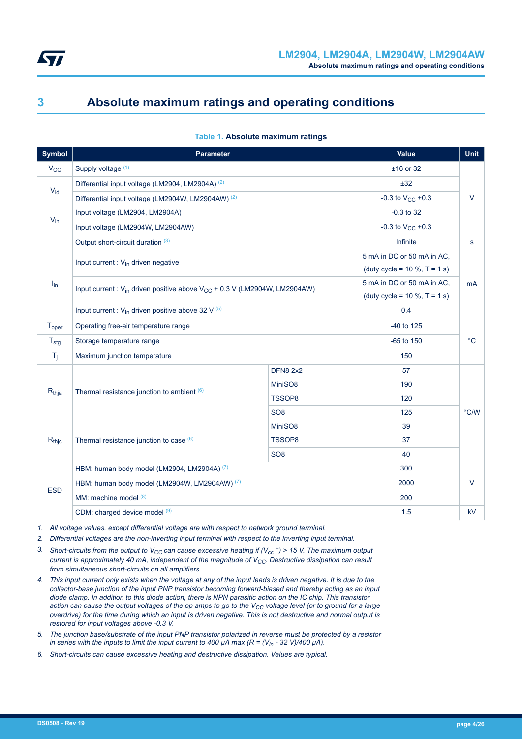<span id="page-3-0"></span>

# **3 Absolute maximum ratings and operating conditions**

| <b>Symbol</b>     | <b>Parameter</b>                                                                    | <b>Value</b>                        | <b>Unit</b>                         |              |
|-------------------|-------------------------------------------------------------------------------------|-------------------------------------|-------------------------------------|--------------|
| $V_{CC}$          | Supply voltage (1)                                                                  |                                     | $±16$ or 32                         |              |
| $V_{id}$          | Differential input voltage (LM2904, LM2904A) (2)                                    | ±32                                 |                                     |              |
|                   | Differential input voltage (LM2904W, LM2904AW) (2)                                  |                                     | -0.3 to $V_{CC}$ +0.3               | $\vee$       |
| $V_{in}$          | Input voltage (LM2904, LM2904A)                                                     |                                     | $-0.3$ to 32                        |              |
|                   | Input voltage (LM2904W, LM2904AW)                                                   |                                     | -0.3 to $V_{CC}$ +0.3               |              |
|                   | Output short-circuit duration (3)                                                   |                                     | Infinite                            | s            |
|                   | Input current : $V_{in}$ driven negative                                            |                                     | 5 mA in DC or 50 mA in AC,          |              |
|                   |                                                                                     |                                     | (duty cycle = $10 \%$ , T = $1 s$ ) |              |
| $I_{in}$          | Input current : $V_{in}$ driven positive above $V_{CC}$ + 0.3 V (LM2904W, LM2904AW) |                                     | 5 mA in DC or 50 mA in AC.          | mA           |
|                   |                                                                                     | (duty cycle = $10 \%$ , T = $1 s$ ) |                                     |              |
|                   | Input current : $V_{in}$ driven positive above 32 V (5)                             | 0.4                                 |                                     |              |
| T <sub>oper</sub> | Operating free-air temperature range                                                |                                     | -40 to 125                          |              |
| $T_{\text{stg}}$  | Storage temperature range                                                           |                                     | $-65$ to $150$                      | $^{\circ}$ C |
| $T_{\rm i}$       | Maximum junction temperature                                                        | 150                                 |                                     |              |
|                   |                                                                                     | <b>DFN8 2x2</b>                     | 57                                  |              |
| $R_{thja}$        | Thermal resistance junction to ambient $(6)$                                        | MiniSO8                             | 190                                 |              |
|                   |                                                                                     | TSSOP8                              | 120                                 |              |
|                   |                                                                                     | SO <sub>8</sub>                     | 125                                 | °C/W         |
|                   |                                                                                     | MiniSO8                             | 39                                  |              |
| $R_{thic}$        | Thermal resistance junction to case (6)                                             | <b>TSSOP8</b>                       | 37                                  |              |
|                   |                                                                                     | 40                                  |                                     |              |
|                   | HBM: human body model (LM2904, LM2904A) (7)                                         | 300                                 |                                     |              |
| <b>ESD</b>        | HBM: human body model (LM2904W, LM2904AW) (7)                                       |                                     | 2000                                | $\vee$       |
|                   | MM: machine model (8)                                                               |                                     | 200                                 |              |
|                   | CDM: charged device model (9)                                                       |                                     | 1.5                                 | kV           |

#### **Table 1. Absolute maximum ratings**

*1. All voltage values, except differential voltage are with respect to network ground terminal.*

*2. Differential voltages are the non-inverting input terminal with respect to the inverting input terminal.*

- *3. Short-circuits from the output to VCC can cause excessive heating if (Vcc <sup>+</sup>) > 15 V. The maximum output current is approximately 40 mA, independent of the magnitude of VCC. Destructive dissipation can result from simultaneous short-circuits on all amplifiers.*
- *4. This input current only exists when the voltage at any of the input leads is driven negative. It is due to the collector-base junction of the input PNP transistor becoming forward-biased and thereby acting as an input diode clamp. In addition to this diode action, there is NPN parasitic action on the IC chip. This transistor action can cause the output voltages of the op amps to go to the VCC voltage level (or to ground for a large overdrive) for the time during which an input is driven negative. This is not destructive and normal output is restored for input voltages above -0.3 V.*
- *5. The junction base/substrate of the input PNP transistor polarized in reverse must be protected by a resistor in series with the inputs to limit the input current to 400 μA max (R = (V<sub>in</sub> - 32 V)/400 μA).*
- *6. Short-circuits can cause excessive heating and destructive dissipation. Values are typical.*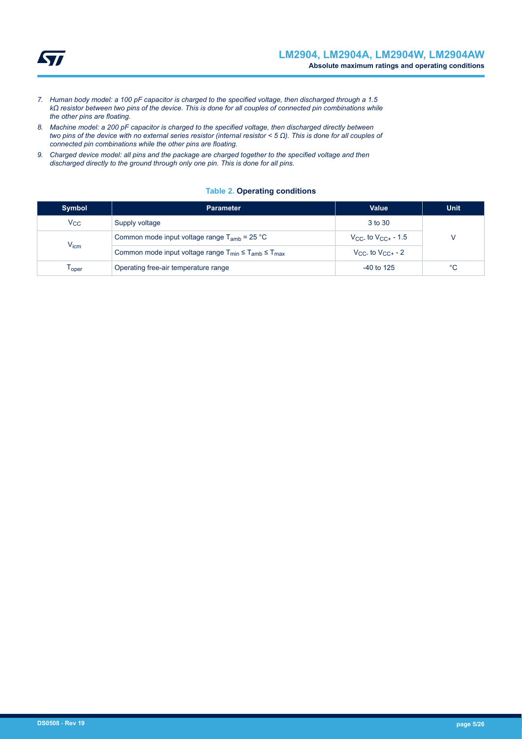<span id="page-4-0"></span>

- *7. Human body model: a 100 pF capacitor is charged to the specified voltage, then discharged through a 1.5 kΩ resistor between two pins of the device. This is done for all couples of connected pin combinations while the other pins are floating.*
- *8. Machine model: a 200 pF capacitor is charged to the specified voltage, then discharged directly between two pins of the device with no external series resistor (internal resistor < 5 Ω). This is done for all couples of connected pin combinations while the other pins are floating.*
- *9. Charged device model: all pins and the package are charged together to the specified voltage and then discharged directly to the ground through only one pin. This is done for all pins.*

#### **Table 2. Operating conditions**

| <b>Symbol</b> | <b>Parameter</b>                                                    | Value                       | <b>Unit</b> |
|---------------|---------------------------------------------------------------------|-----------------------------|-------------|
| $V_{\rm CC}$  | Supply voltage                                                      | 3 to 30                     |             |
|               | Common mode input voltage range $T_{amb}$ = 25 °C                   | $V_{CC}$ to $V_{CC+}$ - 1.5 |             |
| $V_{icm}$     | Common mode input voltage range $T_{min} \leq T_{amb} \leq T_{max}$ | $V_{CC}$ to $V_{CC+}$ - 2   |             |
| l oper        | Operating free-air temperature range                                | $-40$ to 125                | $^{\circ}C$ |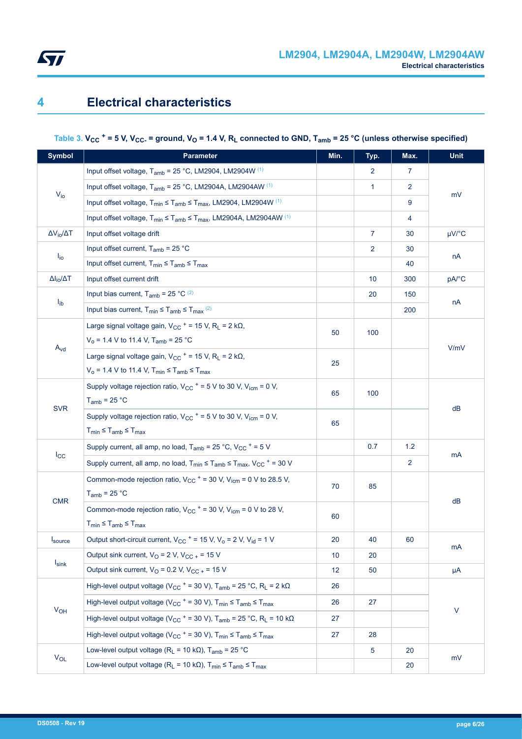<span id="page-5-0"></span>

### **4 Electrical characteristics**

## **Table 3. VCC <sup>+</sup> = 5 V, VCC- = ground, VO = 1.4 V, RL connected to GND, Tamb = 25 °C (unless otherwise specified)**

| <b>Symbol</b>            | <b>Parameter</b>                                                                                               | Min.            | Typ.           | Max.           | <b>Unit</b> |  |  |
|--------------------------|----------------------------------------------------------------------------------------------------------------|-----------------|----------------|----------------|-------------|--|--|
|                          | Input offset voltage, T <sub>amb</sub> = 25 °C, LM2904, LM2904W (1)                                            |                 | $\overline{2}$ | $\overline{7}$ |             |  |  |
|                          | Input offset voltage, $T_{amb}$ = 25 °C, LM2904A, LM2904AW $(1)$                                               |                 | 1              | 2              |             |  |  |
| $V_{i0}$                 | Input offset voltage, $T_{min} \leq T_{amb} \leq T_{max}$ , LM2904, LM2904W (1)                                |                 |                | 9              | mV          |  |  |
|                          | Input offset voltage, $T_{min} \leq T_{amb} \leq T_{max}$ , LM2904A, LM2904AW (1)                              |                 |                | 4              |             |  |  |
| $\Delta V_{io}/\Delta T$ | Input offset voltage drift                                                                                     |                 | $\mathbf{7}$   | 30             | $\mu$ V/°C  |  |  |
|                          | Input offset current, $T_{amb}$ = 25 °C                                                                        |                 | 2              | 30             |             |  |  |
| $I_{\text{io}}$          | Input offset current, $T_{min} \leq T_{amb} \leq T_{max}$                                                      |                 |                | 40             | nA          |  |  |
| $\Delta I_{io}/\Delta T$ | Input offset current drift                                                                                     |                 | 10             | 300            | pA/°C       |  |  |
|                          | Input bias current, $T_{amb}$ = 25 °C $(2)$                                                                    |                 | 20             | 150            |             |  |  |
| $I_{ib}$                 | Input bias current, $T_{min} \leq T_{amb} \leq T_{max}$ <sup>(2)</sup>                                         |                 |                | 200            | nA          |  |  |
|                          | Large signal voltage gain, $V_{CC}$ + = 15 V, R <sub>L</sub> = 2 k $\Omega$ ,                                  |                 |                |                |             |  |  |
|                          | $V_0$ = 1.4 V to 11.4 V, T <sub>amb</sub> = 25 °C                                                              | 50              | 100            |                |             |  |  |
| $A_{vd}$                 | Large signal voltage gain, $V_{CC}$ + = 15 V, R <sub>L</sub> = 2 k $\Omega$ ,                                  | 25              |                |                | V/mV        |  |  |
|                          | $V_0$ = 1.4 V to 11.4 V, $T_{min} \le T_{amb} \le T_{max}$                                                     |                 |                |                |             |  |  |
|                          | Supply voltage rejection ratio, $V_{CC}$ + = 5 V to 30 V, $V_{icm}$ = 0 V,                                     | 65              | 100            |                |             |  |  |
| <b>SVR</b>               | $T_{amb}$ = 25 °C                                                                                              |                 |                |                | dB          |  |  |
|                          | Supply voltage rejection ratio, $V_{CC}$ + = 5 V to 30 V, $V_{icm}$ = 0 V,                                     | 65              |                |                |             |  |  |
|                          | $T_{min} \leq T_{amb} \leq T_{max}$                                                                            |                 |                |                |             |  |  |
|                          | Supply current, all amp, no load, $T_{amb}$ = 25 °C, V <sub>CC</sub> $+$ = 5 V                                 |                 | 0.7            | 1.2            | mA          |  |  |
| $I_{\rm CC}$             | Supply current, all amp, no load, $T_{min} \leq T_{amb} \leq T_{max}$ , $V_{CC}$ + = 30 V                      |                 |                | $\overline{2}$ |             |  |  |
|                          | Common-mode rejection ratio, $V_{CC}$ + = 30 V, $V_{icm}$ = 0 V to 28.5 V,                                     | 70              | 85             |                |             |  |  |
| <b>CMR</b>               | $T_{amb}$ = 25 °C                                                                                              | 60              |                |                | dB          |  |  |
|                          | Common-mode rejection ratio, $V_{CC}$ + = 30 V, $V_{icm}$ = 0 V to 28 V,                                       |                 |                |                |             |  |  |
|                          | $T_{min} \leq T_{amb} \leq T_{max}$                                                                            |                 |                |                |             |  |  |
| $I_{\text{source}}$      | Output short-circuit current, $V_{CC}$ + = 15 V, V <sub>o</sub> = 2 V, V <sub>id</sub> = 1 V                   | 20              | 40             | 60             | mA          |  |  |
|                          | Output sink current, $V_O = 2 V$ , $V_{CC} = 15 V$                                                             | 10              | 20             |                |             |  |  |
| $I_{\text{sink}}$        | Output sink current, $V_O$ = 0.2 V, $V_{CC}$ + = 15 V                                                          | 12 <sup>2</sup> | 50             |                | μA          |  |  |
|                          | High-level output voltage (V <sub>CC</sub> + = 30 V), T <sub>amb</sub> = 25 °C, R <sub>L</sub> = 2 k $\Omega$  | 26              |                |                |             |  |  |
|                          | High-level output voltage ( $V_{CC}$ + = 30 V), $T_{min} \le T_{amb} \le T_{max}$                              | 26              | 27             |                | $\vee$      |  |  |
| $V_{OH}$                 | High-level output voltage (V <sub>CC</sub> + = 30 V), T <sub>amb</sub> = 25 °C, R <sub>L</sub> = 10 k $\Omega$ | 27              |                |                |             |  |  |
|                          | High-level output voltage ( $V_{CC}$ + = 30 V), $T_{min} \leq T_{amb} \leq T_{max}$                            | 27              | 28             |                |             |  |  |
|                          | Low-level output voltage ( $R_L$ = 10 k $\Omega$ ), T <sub>amb</sub> = 25 °C                                   |                 | 5              | 20             |             |  |  |
| $V_{OL}$                 | Low-level output voltage ( $R_L$ = 10 k $\Omega$ ), $T_{min} \leq T_{amb} \leq T_{max}$                        |                 |                | 20             | mV          |  |  |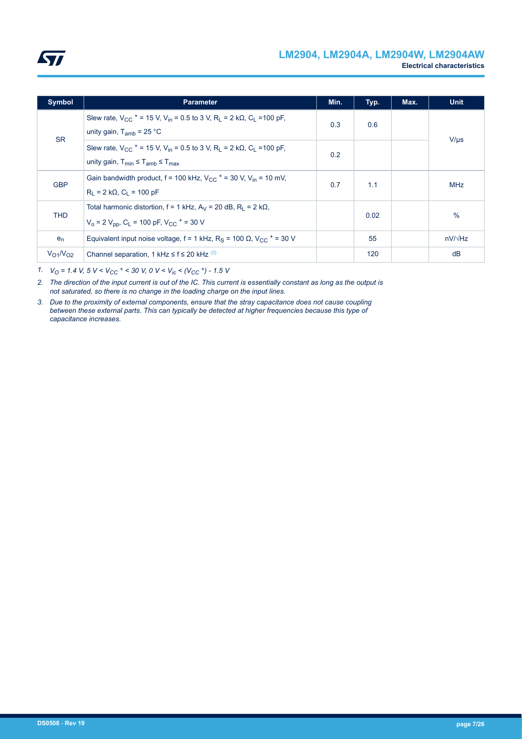<span id="page-6-0"></span>

| <b>Symbol</b>                   | <b>Parameter</b>                                                                                                                                                                             | Min. | Typ. | Max. | <b>Unit</b>    |
|---------------------------------|----------------------------------------------------------------------------------------------------------------------------------------------------------------------------------------------|------|------|------|----------------|
| <b>SR</b>                       | Slew rate, $V_{CC}$ + = 15 V, V <sub>in</sub> = 0.5 to 3 V, R <sub>i</sub> = 2 k $\Omega$ , C <sub>i</sub> = 100 pF,<br>unity gain, $T_{amb}$ = 25 °C                                        |      | 0.6  |      | $V/\mu s$      |
|                                 | Slew rate, $V_{CC}$ + = 15 V, V <sub>in</sub> = 0.5 to 3 V, R <sub>1</sub> = 2 k $\Omega$ , C <sub>1</sub> = 100 pF,<br>unity gain, $T_{\text{min}} \leq T_{\text{amb}} \leq T_{\text{max}}$ | 0.2  |      |      |                |
| <b>GBP</b>                      | Gain bandwidth product, $f = 100$ kHz, $V_{CC}$ + = 30 V, $V_{in}$ = 10 mV,<br>$R_1 = 2 k\Omega$ , $C_1 = 100 pF$                                                                            | 0.7  | 1.1  |      | <b>MHz</b>     |
| <b>THD</b>                      | Total harmonic distortion, $f = 1$ kHz, $A_V = 20$ dB, $R_1 = 2$ k $\Omega$ ,<br>$V_0 = 2 V_{DD}$ , C <sub>L</sub> = 100 pF, V <sub>CC</sub> + = 30 V                                        |      | 0.02 |      | $\%$           |
| $e_n$                           | Equivalent input noise voltage, $f = 1$ kHz, R <sub>S</sub> = 100 $\Omega$ , V <sub>CC</sub> + = 30 V                                                                                        |      | 55   |      | $nV/\sqrt{Hz}$ |
| V <sub>O1</sub> N <sub>O2</sub> | Channel separation, 1 kHz $\leq$ f $\leq$ 20 kHz $^{(3)}$                                                                                                                                    |      | 120  |      | dB             |

*1. VO = 1.4 V, 5 V < VCC <sup>+</sup> < 30 V, 0 V < Vic < (VCC <sup>+</sup>) - 1.5 V*

*2. The direction of the input current is out of the IC. This current is essentially constant as long as the output is not saturated, so there is no change in the loading charge on the input lines.*

*3. Due to the proximity of external components, ensure that the stray capacitance does not cause coupling between these external parts. This can typically be detected at higher frequencies because this type of capacitance increases.*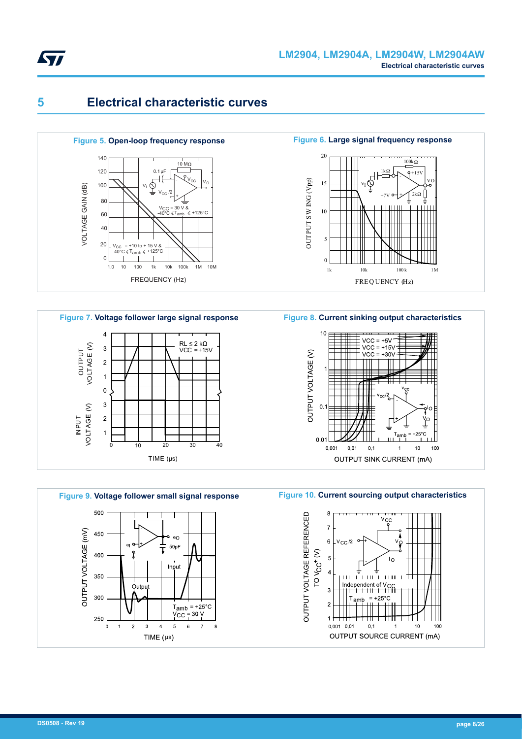<span id="page-7-0"></span>

## **5 Electrical characteristic curves**









**Figure 8. Current sinking output characteristics**



**Figure 10. Current sourcing output characteristics**

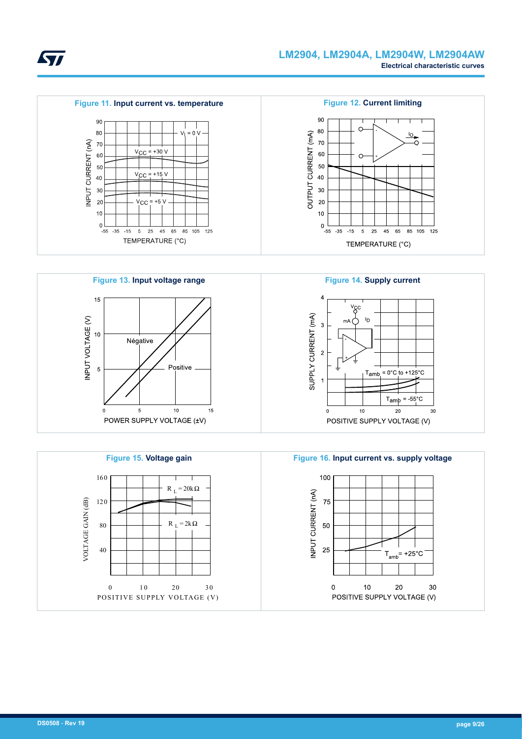<span id="page-8-0"></span>









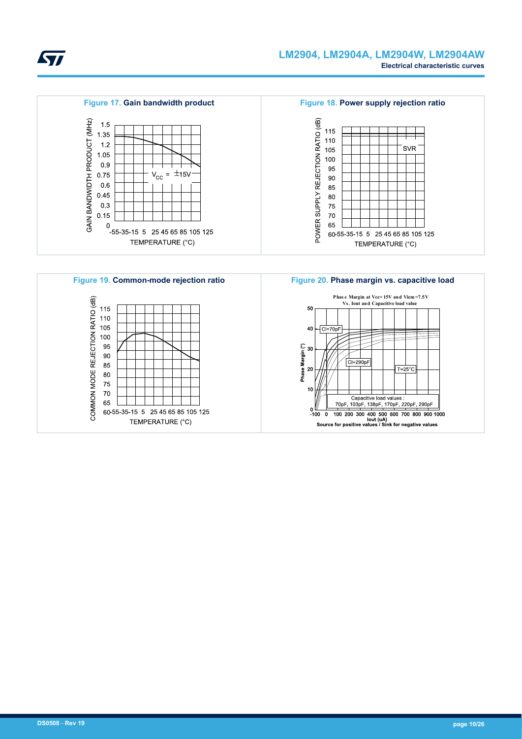<span id="page-9-0"></span>

#### **LM2904, LM2904A, LM2904W, LM2904AW Electrical characteristic curves**

**Figure 17. Gain bandwidth product Figure 18. Power supply rejection ratio** GAIN BANDWIDTH PRODUCT (MHZ) POWER SUPPLY REJECTION RATIO (dB)  $1.5$ 115 1.35 110  $1.2$ SVR 105 1.05 100  $0.9$ 95  $V_{\text{CC}} = \pm 15V$ 0.75 90  $0.6$ 85 0.45 80  $0.3$ 75  $0.15$ 70 65 0<br>-55-35-15 5 25 45 65 85 105 125 60-55-35-15 5 25 45 65 85 105 125 TEMPERATURE (°C) TEMPERATURE (°C)

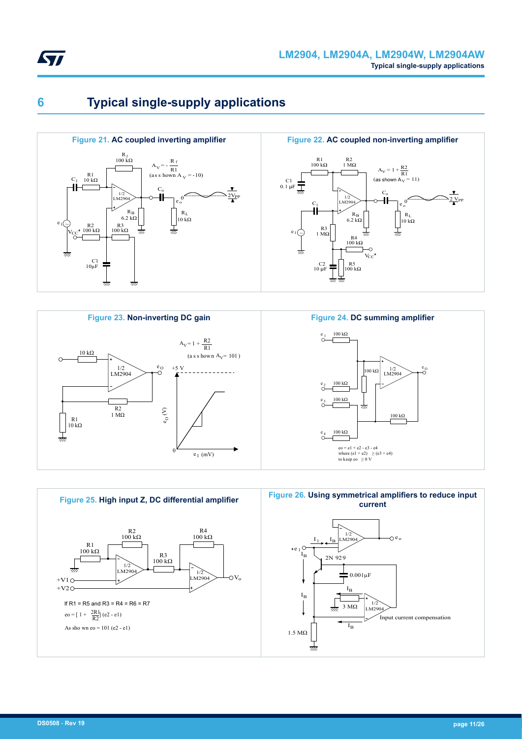<span id="page-10-0"></span>

# **6 Typical single-supply applications**







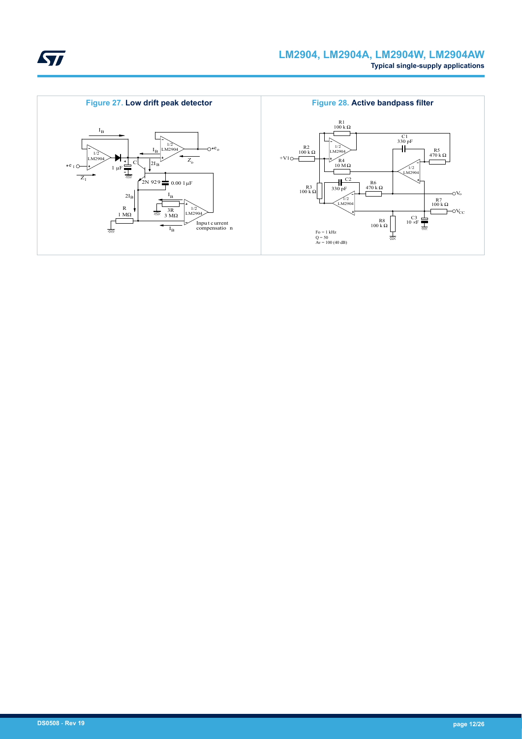<span id="page-11-0"></span>

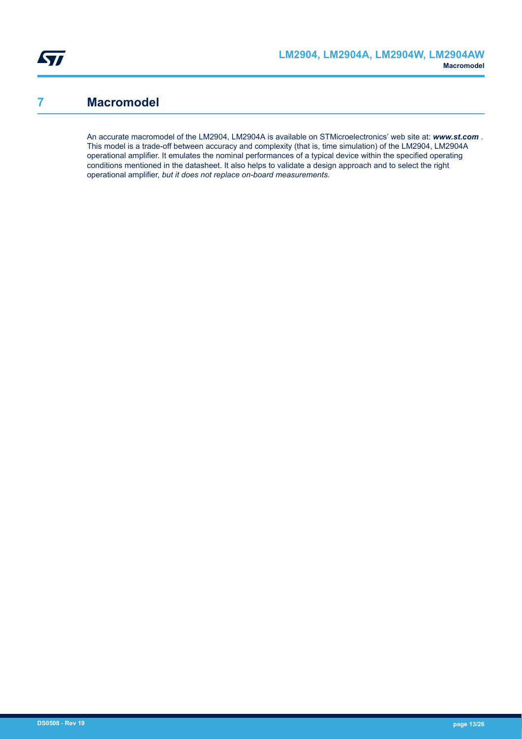### <span id="page-12-0"></span>**7 Macromodel**

An accurate macromodel of the LM2904, LM2904A is available on STMicroelectronics' web site at: *www.st.com* . This model is a trade-off between accuracy and complexity (that is, time simulation) of the LM2904, LM2904A operational amplifier. It emulates the nominal performances of a typical device within the specified operating conditions mentioned in the datasheet. It also helps to validate a design approach and to select the right operational amplifier, *but it does not replace on-board measurements*.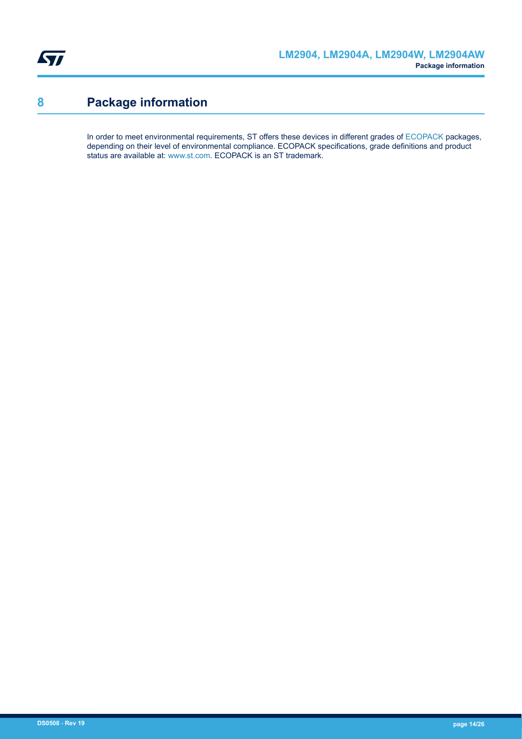<span id="page-13-0"></span>

# **8 Package information**

In order to meet environmental requirements, ST offers these devices in different grades of [ECOPACK](https://www.st.com/ecopack) packages, depending on their level of environmental compliance. ECOPACK specifications, grade definitions and product status are available at: [www.st.com.](http://www.st.com) ECOPACK is an ST trademark.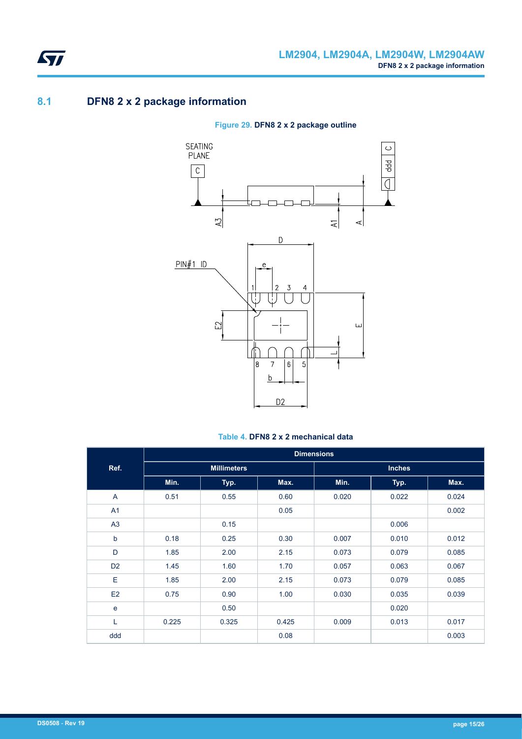### **8.1 DFN8 2 x 2 package information**

#### **Figure 29. DFN8 2 x 2 package outline**



#### **Table 4. DFN8 2 x 2 mechanical data**

|                | <b>Dimensions</b> |                    |       |               |       |       |  |
|----------------|-------------------|--------------------|-------|---------------|-------|-------|--|
| Ref.           |                   | <b>Millimeters</b> |       | <b>Inches</b> |       |       |  |
|                | Min.              | Typ.               | Max.  | Min.          | Typ.  | Max.  |  |
| A              | 0.51              | 0.55               | 0.60  | 0.020         | 0.022 | 0.024 |  |
| A1             |                   |                    | 0.05  |               |       | 0.002 |  |
| A <sub>3</sub> |                   | 0.15               |       |               | 0.006 |       |  |
| b              | 0.18              | 0.25               | 0.30  | 0.007         | 0.010 | 0.012 |  |
| D              | 1.85              | 2.00               | 2.15  | 0.073         | 0.079 | 0.085 |  |
| D <sub>2</sub> | 1.45              | 1.60               | 1.70  | 0.057         | 0.063 | 0.067 |  |
| E              | 1.85              | 2.00               | 2.15  | 0.073         | 0.079 | 0.085 |  |
| E2             | 0.75              | 0.90               | 1.00  | 0.030         | 0.035 | 0.039 |  |
| $\mathbf e$    |                   | 0.50               |       |               | 0.020 |       |  |
| L              | 0.225             | 0.325              | 0.425 | 0.009         | 0.013 | 0.017 |  |
| ddd            |                   |                    | 0.08  |               |       | 0.003 |  |

<span id="page-14-0"></span>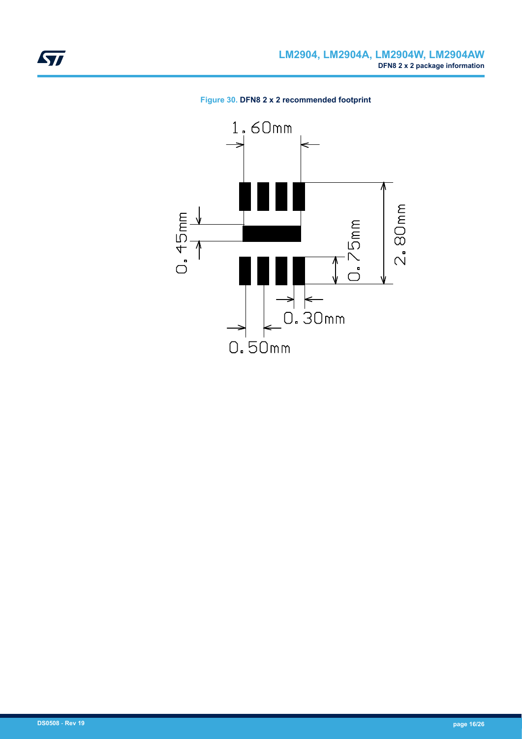<span id="page-15-0"></span>

#### **Figure 30. DFN8 2 x 2 recommended footprint**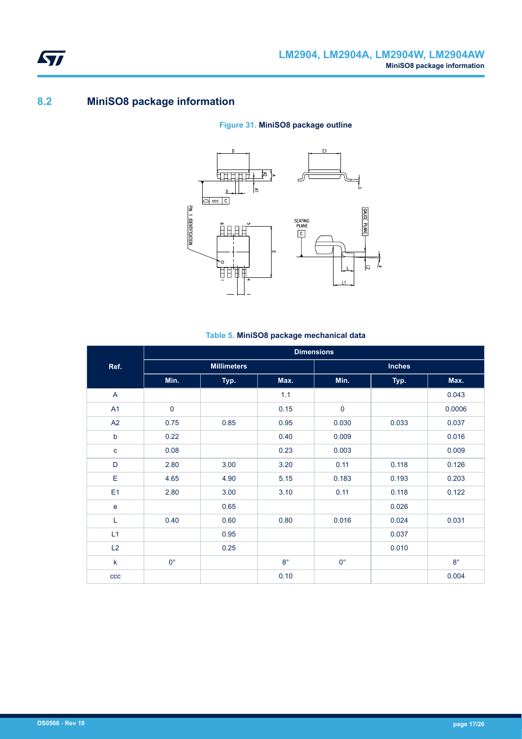### **8.2 MiniSO8 package information**

#### **Figure 31. MiniSO8 package outline**



#### **Table 5. MiniSO8 package mechanical data**

|                | <b>Dimensions</b> |                    |             |               |       |             |  |
|----------------|-------------------|--------------------|-------------|---------------|-------|-------------|--|
| Ref.           |                   | <b>Millimeters</b> |             | <b>Inches</b> |       |             |  |
|                | Min.              | Typ.               | Max.        | Min.          | Typ.  | Max.        |  |
| A              |                   |                    | 1.1         |               |       | 0.043       |  |
| A1             | $\pmb{0}$         |                    | 0.15        | $\mathbf 0$   |       | 0.0006      |  |
| A2             | 0.75              | 0.85               | 0.95        | 0.030         | 0.033 | 0.037       |  |
| $\mathsf b$    | 0.22              |                    | 0.40        | 0.009         |       | 0.016       |  |
| $\mathbf{C}$   | 0.08              |                    | 0.23        | 0.003         |       | 0.009       |  |
| D              | 2.80              | 3.00               | 3.20        | 0.11          | 0.118 | 0.126       |  |
| Е              | 4.65              | 4.90               | 5.15        | 0.183         | 0.193 | 0.203       |  |
| E <sub>1</sub> | 2.80              | 3.00               | 3.10        | 0.11          | 0.118 | 0.122       |  |
| $\mathbf e$    |                   | 0.65               |             |               | 0.026 |             |  |
| L              | 0.40              | 0.60               | 0.80        | 0.016         | 0.024 | 0.031       |  |
| L1             |                   | 0.95               |             |               | 0.037 |             |  |
| L2             |                   | 0.25               |             |               | 0.010 |             |  |
| $\mathsf k$    | $0^{\circ}$       |                    | $8^{\circ}$ | $0^{\circ}$   |       | $8^{\circ}$ |  |
| ccc            |                   |                    | 0.10        |               |       | 0.004       |  |

<span id="page-16-0"></span>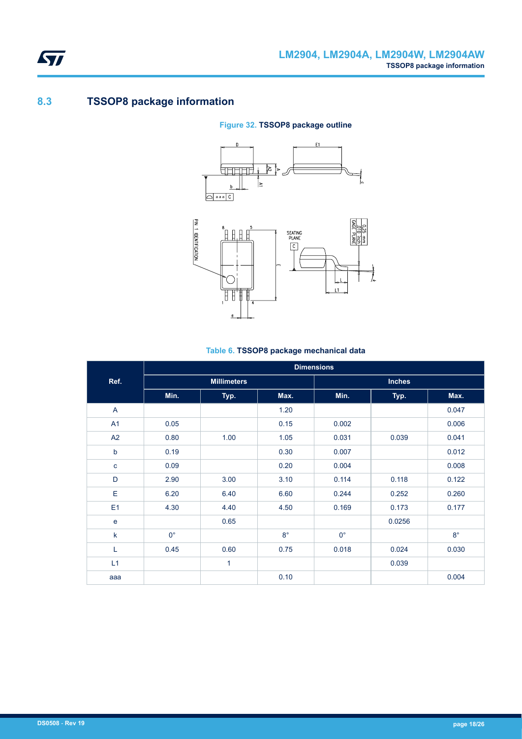### **8.3 TSSOP8 package information**

<span id="page-17-0"></span>ST

#### **Figure 32. TSSOP8 package outline**





#### **Table 6. TSSOP8 package mechanical data**

|                |             |                    |             | <b>Dimensions</b> |               |             |
|----------------|-------------|--------------------|-------------|-------------------|---------------|-------------|
| Ref.           |             | <b>Millimeters</b> |             |                   | <b>Inches</b> |             |
|                | Min.        | Typ.               | Max.        | Min.              | Typ.          | Max.        |
| $\overline{A}$ |             |                    | 1.20        |                   |               | 0.047       |
| A1             | 0.05        |                    | 0.15        | 0.002             |               | 0.006       |
| A2             | 0.80        | 1.00               | 1.05        | 0.031             | 0.039         | 0.041       |
| b              | 0.19        |                    | 0.30        | 0.007             |               | 0.012       |
| $\mathbf{C}$   | 0.09        |                    | 0.20        | 0.004             |               | 0.008       |
| D              | 2.90        | 3.00               | 3.10        | 0.114             | 0.118         | 0.122       |
| E              | 6.20        | 6.40               | 6.60        | 0.244             | 0.252         | 0.260       |
| E1             | 4.30        | 4.40               | 4.50        | 0.169             | 0.173         | 0.177       |
| e              |             | 0.65               |             |                   | 0.0256        |             |
| $\mathsf k$    | $0^{\circ}$ |                    | $8^{\circ}$ | $0^{\circ}$       |               | $8^{\circ}$ |
| L              | 0.45        | 0.60               | 0.75        | 0.018             | 0.024         | 0.030       |
| L1             |             | $\mathbf{1}$       |             |                   | 0.039         |             |
| aaa            |             |                    | 0.10        |                   |               | 0.004       |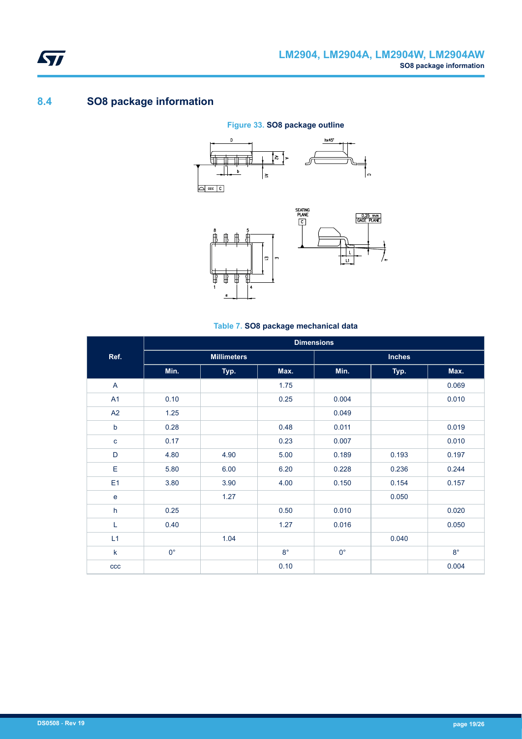

### **8.4 SO8 package information**

<span id="page-18-0"></span>ST

#### **Figure 33. SO8 package outline**





#### **Table 7. SO8 package mechanical data**

|                | <b>Dimensions</b>  |      |           |               |       |           |  |
|----------------|--------------------|------|-----------|---------------|-------|-----------|--|
| Ref.           | <b>Millimeters</b> |      |           | <b>Inches</b> |       |           |  |
|                | Min.               | Typ. | Max.      | Min.          | Typ.  | Max.      |  |
| $\overline{A}$ |                    |      | 1.75      |               |       | 0.069     |  |
| A1             | 0.10               |      | 0.25      | 0.004         |       | 0.010     |  |
| A2             | 1.25               |      |           | 0.049         |       |           |  |
| $\mathsf b$    | 0.28               |      | 0.48      | 0.011         |       | 0.019     |  |
| $\mathbf{C}$   | 0.17               |      | 0.23      | 0.007         |       | 0.010     |  |
| D              | 4.80               | 4.90 | 5.00      | 0.189         | 0.193 | 0.197     |  |
| Е              | 5.80               | 6.00 | 6.20      | 0.228         | 0.236 | 0.244     |  |
| E <sub>1</sub> | 3.80               | 3.90 | 4.00      | 0.150         | 0.154 | 0.157     |  |
| e              |                    | 1.27 |           |               | 0.050 |           |  |
| h              | 0.25               |      | 0.50      | 0.010         |       | 0.020     |  |
| Г              | 0.40               |      | 1.27      | 0.016         |       | 0.050     |  |
| L1             |                    | 1.04 |           |               | 0.040 |           |  |
| $\mathsf k$    | $0^{\circ}$        |      | $8^\circ$ | $0^{\circ}$   |       | $8^\circ$ |  |
| ccc            |                    |      | 0.10      |               |       | 0.004     |  |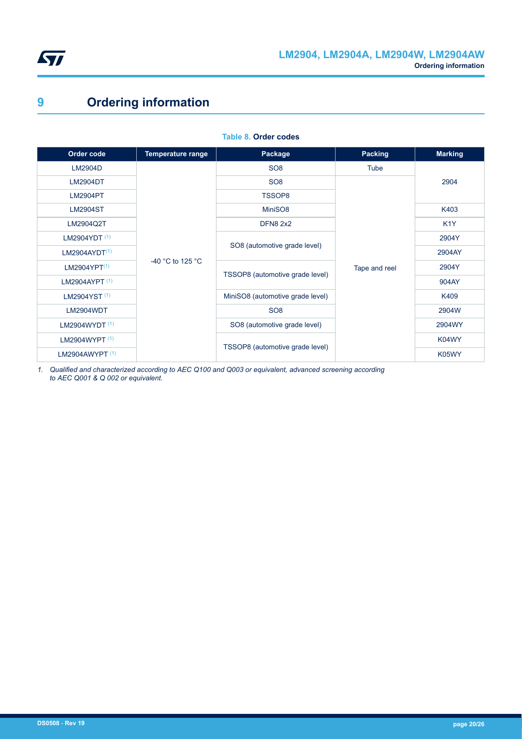<span id="page-19-0"></span>

# **9 Ordering information**

| Order code                | <b>Temperature range</b>             | Package                          | <b>Packing</b> | <b>Marking</b>   |
|---------------------------|--------------------------------------|----------------------------------|----------------|------------------|
| LM2904D                   |                                      | SO <sub>8</sub>                  | Tube           |                  |
| <b>LM2904DT</b>           |                                      | SO <sub>8</sub>                  |                | 2904             |
| <b>LM2904PT</b>           |                                      | TSSOP8                           |                |                  |
| <b>LM2904ST</b>           |                                      | MiniSO8                          |                | K403             |
| LM2904Q2T                 |                                      | <b>DFN8 2x2</b>                  |                | K <sub>1</sub> Y |
| LM2904YDT <sup>(1)</sup>  |                                      |                                  | Tape and reel  | 2904Y            |
| LM2904AYDT <sup>(1)</sup> |                                      | SO8 (automotive grade level)     |                | 2904AY           |
| LM2904YPT <sup>(1)</sup>  | -40 $^{\circ}$ C to 125 $^{\circ}$ C |                                  |                | 2904Y            |
| LM2904AYPT <sup>(1)</sup> |                                      | TSSOP8 (automotive grade level)  |                | 904AY            |
| LM2904YST <sup>(1)</sup>  |                                      | MiniSO8 (automotive grade level) |                | K409             |
| LM2904WDT                 |                                      | SO <sub>8</sub>                  |                | 2904W            |
| LM2904WYDT $(1)$          |                                      | SO8 (automotive grade level)     |                | 2904WY           |
| LM2904WYPT (1)            |                                      |                                  |                | K04WY            |
| LM2904AWYPT $(1)$         |                                      | TSSOP8 (automotive grade level)  |                | K05WY            |

**Table 8. Order codes**

*1. Qualified and characterized according to AEC Q100 and Q003 or equivalent, advanced screening according to AEC Q001 & Q 002 or equivalent.*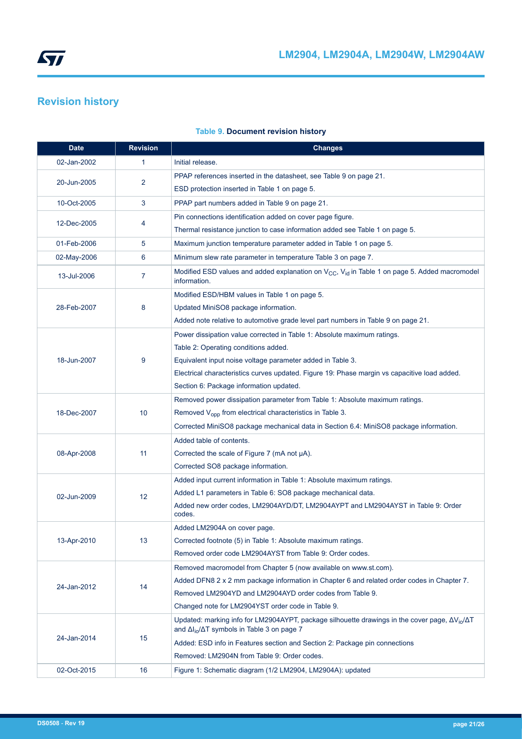# <span id="page-20-0"></span>**Revision history**

| <b>Date</b> | <b>Revision</b> | <b>Changes</b>                                                                                                                                                             |
|-------------|-----------------|----------------------------------------------------------------------------------------------------------------------------------------------------------------------------|
| 02-Jan-2002 | 1               | Initial release.                                                                                                                                                           |
|             |                 | PPAP references inserted in the datasheet, see Table 9 on page 21.                                                                                                         |
| 20-Jun-2005 | 2               | ESD protection inserted in Table 1 on page 5.                                                                                                                              |
| 10-Oct-2005 | 3               | PPAP part numbers added in Table 9 on page 21.                                                                                                                             |
|             |                 | Pin connections identification added on cover page figure.                                                                                                                 |
| 12-Dec-2005 | 4               | Thermal resistance junction to case information added see Table 1 on page 5.                                                                                               |
| 01-Feb-2006 | 5               | Maximum junction temperature parameter added in Table 1 on page 5.                                                                                                         |
| 02-May-2006 | 6               | Minimum slew rate parameter in temperature Table 3 on page 7.                                                                                                              |
| 13-Jul-2006 | $\overline{7}$  | Modified ESD values and added explanation on V <sub>CC</sub> , V <sub>id</sub> in Table 1 on page 5. Added macromodel<br>information.                                      |
|             |                 | Modified ESD/HBM values in Table 1 on page 5.                                                                                                                              |
| 28-Feb-2007 | 8               | Updated MiniSO8 package information.                                                                                                                                       |
|             |                 | Added note relative to automotive grade level part numbers in Table 9 on page 21.                                                                                          |
|             |                 | Power dissipation value corrected in Table 1: Absolute maximum ratings.                                                                                                    |
|             |                 | Table 2: Operating conditions added.                                                                                                                                       |
| 18-Jun-2007 | 9               | Equivalent input noise voltage parameter added in Table 3.                                                                                                                 |
|             |                 | Electrical characteristics curves updated. Figure 19: Phase margin vs capacitive load added.                                                                               |
|             |                 | Section 6: Package information updated.                                                                                                                                    |
|             |                 | Removed power dissipation parameter from Table 1: Absolute maximum ratings.                                                                                                |
| 18-Dec-2007 | 10              | Removed V <sub>opp</sub> from electrical characteristics in Table 3.                                                                                                       |
|             |                 | Corrected MiniSO8 package mechanical data in Section 6.4: MiniSO8 package information.                                                                                     |
|             |                 | Added table of contents.                                                                                                                                                   |
| 08-Apr-2008 | 11              | Corrected the scale of Figure 7 (mA not µA).                                                                                                                               |
|             |                 | Corrected SO8 package information.                                                                                                                                         |
|             |                 | Added input current information in Table 1: Absolute maximum ratings.                                                                                                      |
| 02-Jun-2009 | 12 <sup>2</sup> | Added L1 parameters in Table 6: SO8 package mechanical data.                                                                                                               |
|             |                 | Added new order codes, LM2904AYD/DT, LM2904AYPT and LM2904AYST in Table 9: Order<br>codes.                                                                                 |
|             |                 | Added LM2904A on cover page.                                                                                                                                               |
| 13-Apr-2010 | 13              | Corrected footnote (5) in Table 1: Absolute maximum ratings.                                                                                                               |
|             |                 | Removed order code LM2904AYST from Table 9: Order codes.                                                                                                                   |
|             |                 | Removed macromodel from Chapter 5 (now available on www.st.com).                                                                                                           |
| 24-Jan-2012 | 14              | Added DFN8 2 x 2 mm package information in Chapter 6 and related order codes in Chapter 7.                                                                                 |
|             |                 | Removed LM2904YD and LM2904AYD order codes from Table 9.                                                                                                                   |
|             |                 | Changed note for LM2904YST order code in Table 9.                                                                                                                          |
|             |                 | Updated: marking info for LM2904AYPT, package silhouette drawings in the cover page, $\Delta V_{io}/\Delta T$<br>and $\Delta I_{io}/\Delta T$ symbols in Table 3 on page 7 |
| 24-Jan-2014 | 15              | Added: ESD info in Features section and Section 2: Package pin connections                                                                                                 |
|             |                 | Removed: LM2904N from Table 9: Order codes.                                                                                                                                |
| 02-Oct-2015 | 16              | Figure 1: Schematic diagram (1/2 LM2904, LM2904A): updated                                                                                                                 |

### **Table 9. Document revision history**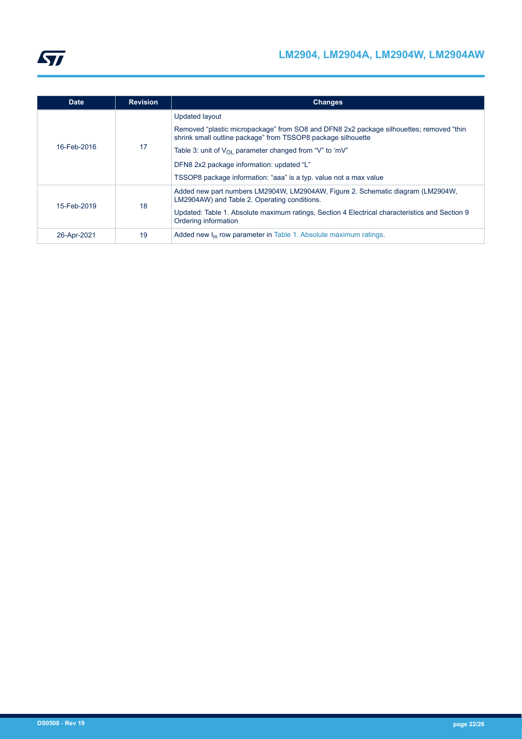

| <b>Date</b> | <b>Revision</b> | <b>Changes</b>                                                                                                                                                                                                                                                                                                                                                  |
|-------------|-----------------|-----------------------------------------------------------------------------------------------------------------------------------------------------------------------------------------------------------------------------------------------------------------------------------------------------------------------------------------------------------------|
| 16-Feb-2016 | 17              | Updated layout<br>Removed "plastic micropackage" from SO8 and DFN8 2x2 package silhouettes; removed "thin<br>shrink small outline package" from TSSOP8 package silhouette<br>Table 3: unit of $V_{\Omega}$ parameter changed from "V" to 'mV"<br>DFN8 2x2 package information: updated "L"<br>TSSOP8 package information: "aaa" is a typ. value not a max value |
| 15-Feb-2019 | 18              | Added new part numbers LM2904W, LM2904AW, Figure 2. Schematic diagram (LM2904W,<br>LM2904AW) and Table 2. Operating conditions.<br>Updated: Table 1. Absolute maximum ratings, Section 4 Electrical characteristics and Section 9<br>Ordering information                                                                                                       |
| 26-Apr-2021 | 19              | Added new I <sub>in</sub> row parameter in Table 1. Absolute maximum ratings.                                                                                                                                                                                                                                                                                   |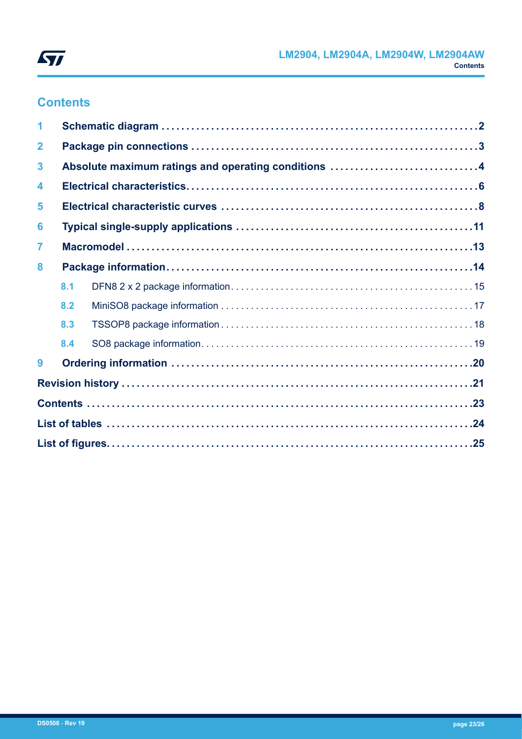

# **Contents**

| 1                       |     |                                                     |  |  |
|-------------------------|-----|-----------------------------------------------------|--|--|
| $\mathbf{2}$            |     |                                                     |  |  |
| $\mathbf{3}$            |     | Absolute maximum ratings and operating conditions 4 |  |  |
| $\overline{\mathbf{4}}$ |     |                                                     |  |  |
| 5                       |     |                                                     |  |  |
| 6                       |     |                                                     |  |  |
| $\overline{7}$          |     |                                                     |  |  |
| 8                       |     |                                                     |  |  |
|                         | 8.1 |                                                     |  |  |
|                         | 8.2 |                                                     |  |  |
|                         | 8.3 |                                                     |  |  |
|                         | 8.4 |                                                     |  |  |
| 9                       |     |                                                     |  |  |
|                         |     |                                                     |  |  |
|                         |     |                                                     |  |  |
|                         |     |                                                     |  |  |
|                         |     |                                                     |  |  |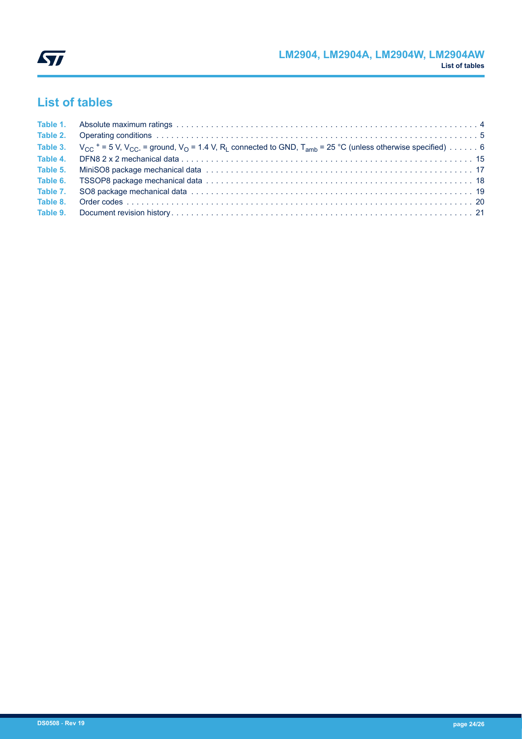# <span id="page-23-0"></span>**List of tables**

|          | Table 3. $V_{CC}$ + = 5 V, V <sub>CC</sub> = ground, V <sub>O</sub> = 1.4 V, R <sub>L</sub> connected to GND, T <sub>amb</sub> = 25 °C (unless otherwise specified) 6 |  |
|----------|-----------------------------------------------------------------------------------------------------------------------------------------------------------------------|--|
| Table 4. |                                                                                                                                                                       |  |
| Table 5. |                                                                                                                                                                       |  |
|          |                                                                                                                                                                       |  |
| Table 7. |                                                                                                                                                                       |  |
| Table 8. |                                                                                                                                                                       |  |
|          |                                                                                                                                                                       |  |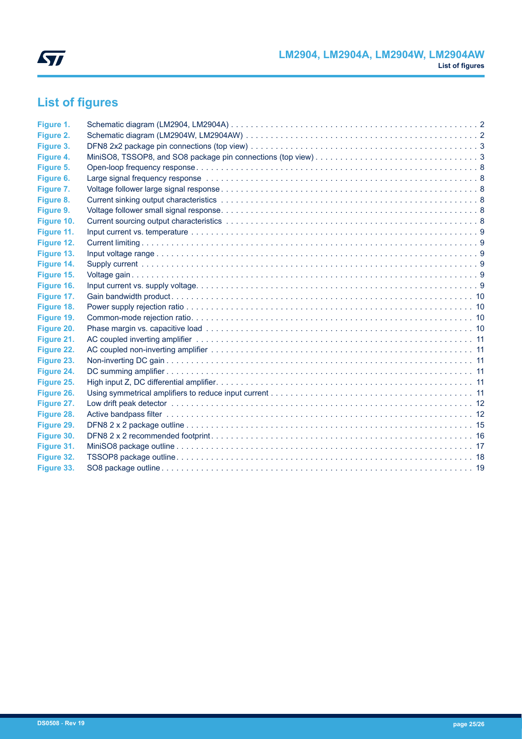<span id="page-24-0"></span>

# **List of figures**

| Figure 1.  |  |
|------------|--|
| Figure 2.  |  |
| Figure 3.  |  |
| Figure 4.  |  |
| Figure 5.  |  |
| Figure 6.  |  |
| Figure 7.  |  |
| Figure 8.  |  |
| Figure 9.  |  |
| Figure 10. |  |
| Figure 11. |  |
| Figure 12. |  |
| Figure 13. |  |
| Figure 14. |  |
| Figure 15. |  |
| Figure 16. |  |
| Figure 17. |  |
| Figure 18. |  |
| Figure 19. |  |
| Figure 20. |  |
| Figure 21. |  |
| Figure 22. |  |
| Figure 23. |  |
| Figure 24. |  |
| Figure 25. |  |
| Figure 26. |  |
| Figure 27. |  |
| Figure 28. |  |
| Figure 29. |  |
| Figure 30. |  |
| Figure 31. |  |
| Figure 32. |  |
| Figure 33. |  |